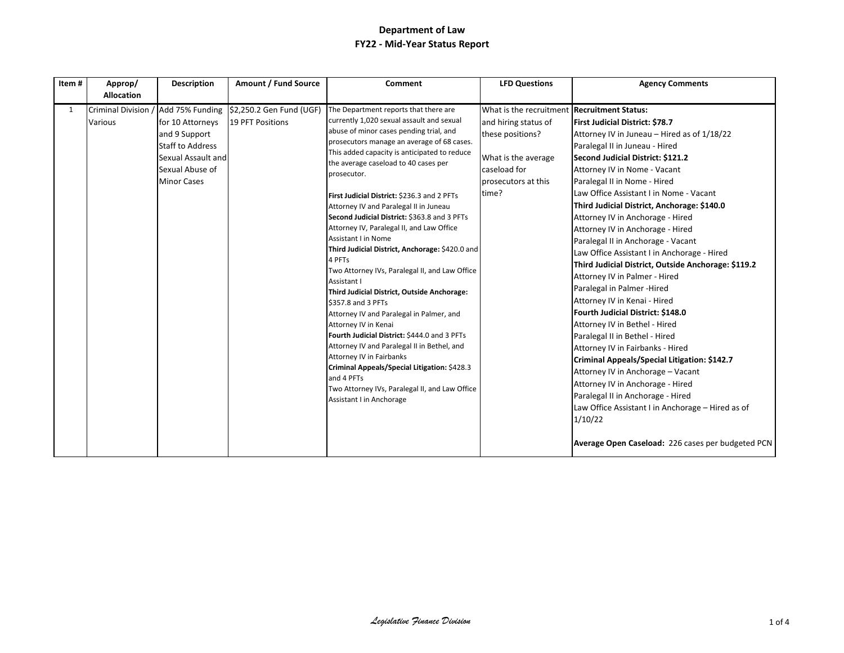| Item# | Approp/<br><b>Allocation</b> | <b>Description</b>                                                                                                          | Amount / Fund Source                                                             | Comment                                                                                                                                                                                                                                                                                                                                                                                                                                                                                                                                                                                                                                                                                                                                                                                                                                                                                                                                                                                                                                              | <b>LFD Questions</b>                                                                                                                                           | <b>Agency Comments</b>                                                                                                                                                                                                                                                                                                                                                                                                                                                                                                                                                                                                                                                                                                                                                                                                                                                                                                                                                                                                                                                    |
|-------|------------------------------|-----------------------------------------------------------------------------------------------------------------------------|----------------------------------------------------------------------------------|------------------------------------------------------------------------------------------------------------------------------------------------------------------------------------------------------------------------------------------------------------------------------------------------------------------------------------------------------------------------------------------------------------------------------------------------------------------------------------------------------------------------------------------------------------------------------------------------------------------------------------------------------------------------------------------------------------------------------------------------------------------------------------------------------------------------------------------------------------------------------------------------------------------------------------------------------------------------------------------------------------------------------------------------------|----------------------------------------------------------------------------------------------------------------------------------------------------------------|---------------------------------------------------------------------------------------------------------------------------------------------------------------------------------------------------------------------------------------------------------------------------------------------------------------------------------------------------------------------------------------------------------------------------------------------------------------------------------------------------------------------------------------------------------------------------------------------------------------------------------------------------------------------------------------------------------------------------------------------------------------------------------------------------------------------------------------------------------------------------------------------------------------------------------------------------------------------------------------------------------------------------------------------------------------------------|
| 1     | Various                      | for 10 Attorneys<br>and 9 Support<br><b>Staff to Address</b><br>Sexual Assault and<br>Sexual Abuse of<br><b>Minor Cases</b> | Criminal Division / Add 75% Funding \$2,250.2 Gen Fund (UGF)<br>19 PFT Positions | The Department reports that there are<br>currently 1,020 sexual assault and sexual<br>abuse of minor cases pending trial, and<br>prosecutors manage an average of 68 cases.<br>This added capacity is anticipated to reduce<br>the average caseload to 40 cases per<br>prosecutor.<br>First Judicial District: \$236.3 and 2 PFTs<br>Attorney IV and Paralegal II in Juneau<br>Second Judicial District: \$363.8 and 3 PFTs<br>Attorney IV, Paralegal II, and Law Office<br><b>Assistant I in Nome</b><br>Third Judicial District, Anchorage: \$420.0 and<br>4 PFTs<br>Two Attorney IVs, Paralegal II, and Law Office<br>Assistant I<br>Third Judicial District, Outside Anchorage:<br>\$357.8 and 3 PFTs<br>Attorney IV and Paralegal in Palmer, and<br>Attorney IV in Kenai<br>Fourth Judicial District: \$444.0 and 3 PFTs<br>Attorney IV and Paralegal II in Bethel, and<br>Attorney IV in Fairbanks<br>Criminal Appeals/Special Litigation: \$428.3<br>and 4 PFTs<br>Two Attorney IVs, Paralegal II, and Law Office<br>Assistant I in Anchorage | What is the recruitment Recruitment Status:<br>and hiring status of<br>these positions?<br>What is the average<br>caseload for<br>prosecutors at this<br>time? | <b>First Judicial District: \$78.7</b><br>Attorney IV in Juneau - Hired as of 1/18/22<br>Paralegal II in Juneau - Hired<br>Second Judicial District: \$121.2<br>Attorney IV in Nome - Vacant<br>Paralegal II in Nome - Hired<br>Law Office Assistant I in Nome - Vacant<br>Third Judicial District, Anchorage: \$140.0<br>Attorney IV in Anchorage - Hired<br>Attorney IV in Anchorage - Hired<br>Paralegal II in Anchorage - Vacant<br>Law Office Assistant I in Anchorage - Hired<br>Third Judicial District, Outside Anchorage: \$119.2<br>Attorney IV in Palmer - Hired<br>Paralegal in Palmer - Hired<br>Attorney IV in Kenai - Hired<br>Fourth Judicial District: \$148.0<br>Attorney IV in Bethel - Hired<br>Paralegal II in Bethel - Hired<br>Attorney IV in Fairbanks - Hired<br>Criminal Appeals/Special Litigation: \$142.7<br>Attorney IV in Anchorage - Vacant<br>Attorney IV in Anchorage - Hired<br>Paralegal II in Anchorage - Hired<br>Law Office Assistant I in Anchorage - Hired as of<br>1/10/22<br>Average Open Caseload: 226 cases per budgeted PCN |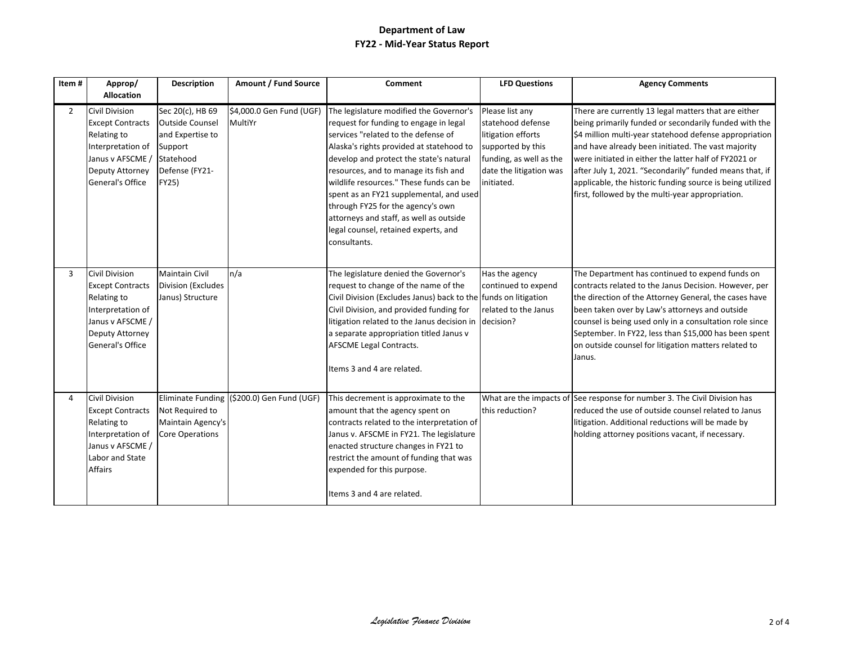| Item#          | Approp/<br><b>Allocation</b>                                                                                                                                | <b>Description</b>                                                                                                | Amount / Fund Source                       | Comment                                                                                                                                                                                                                                                                                                                                                                                                                                                                                | <b>LFD Questions</b>                                                                                                                                | <b>Agency Comments</b>                                                                                                                                                                                                                                                                                                                                                                                                                                             |
|----------------|-------------------------------------------------------------------------------------------------------------------------------------------------------------|-------------------------------------------------------------------------------------------------------------------|--------------------------------------------|----------------------------------------------------------------------------------------------------------------------------------------------------------------------------------------------------------------------------------------------------------------------------------------------------------------------------------------------------------------------------------------------------------------------------------------------------------------------------------------|-----------------------------------------------------------------------------------------------------------------------------------------------------|--------------------------------------------------------------------------------------------------------------------------------------------------------------------------------------------------------------------------------------------------------------------------------------------------------------------------------------------------------------------------------------------------------------------------------------------------------------------|
| $\overline{2}$ | <b>Civil Division</b><br><b>Except Contracts</b><br>Relating to<br>Interpretation of<br>Janus v AFSCME<br><b>Deputy Attorney</b><br><b>General's Office</b> | Sec 20(c), HB 69<br><b>Outside Counsel</b><br>and Expertise to<br>Support<br>Statehood<br>Defense (FY21-<br>FY25) | \$4,000.0 Gen Fund (UGF)<br>MultiYr        | The legislature modified the Governor's<br>request for funding to engage in legal<br>services "related to the defense of<br>Alaska's rights provided at statehood to<br>develop and protect the state's natural<br>resources, and to manage its fish and<br>wildlife resources." These funds can be<br>spent as an FY21 supplemental, and used<br>through FY25 for the agency's own<br>attorneys and staff, as well as outside<br>legal counsel, retained experts, and<br>consultants. | Please list any<br>statehood defense<br>litigation efforts<br>supported by this<br>funding, as well as the<br>date the litigation was<br>initiated. | There are currently 13 legal matters that are either<br>being primarily funded or secondarily funded with the<br>\$4 million multi-year statehood defense appropriation<br>and have already been initiated. The vast majority<br>were initiated in either the latter half of FY2021 or<br>after July 1, 2021. "Secondarily" funded means that, if<br>applicable, the historic funding source is being utilized<br>first, followed by the multi-year appropriation. |
| 3              | <b>Civil Division</b><br><b>Except Contracts</b><br>Relating to<br>Interpretation of<br>Janus v AFSCME /<br>Deputy Attorney<br><b>General's Office</b>      | Maintain Civil<br>Division (Excludes<br>Janus) Structure                                                          | n/a                                        | The legislature denied the Governor's<br>request to change of the name of the<br>Civil Division (Excludes Janus) back to the funds on litigation<br>Civil Division, and provided funding for<br>litigation related to the Janus decision in decision?<br>a separate appropriation titled Janus v<br>AFSCME Legal Contracts.<br>Items 3 and 4 are related.                                                                                                                              | Has the agency<br>continued to expend<br>related to the Janus                                                                                       | The Department has continued to expend funds on<br>contracts related to the Janus Decision. However, per<br>the direction of the Attorney General, the cases have<br>been taken over by Law's attorneys and outside<br>counsel is being used only in a consultation role since<br>September. In FY22, less than \$15,000 has been spent<br>on outside counsel for litigation matters related to<br>Janus.                                                          |
| $\overline{4}$ | <b>Civil Division</b><br><b>Except Contracts</b><br>Relating to<br>Interpretation of<br>Janus v AFSCME /<br>Labor and State<br>Affairs                      | Not Required to<br>Maintain Agency's<br><b>Core Operations</b>                                                    | Eliminate Funding (\$200.0) Gen Fund (UGF) | This decrement is approximate to the<br>amount that the agency spent on<br>contracts related to the interpretation of<br>Janus v. AFSCME in FY21. The legislature<br>enacted structure changes in FY21 to<br>restrict the amount of funding that was<br>expended for this purpose.<br>Items 3 and 4 are related.                                                                                                                                                                       | this reduction?                                                                                                                                     | What are the impacts of See response for number 3. The Civil Division has<br>reduced the use of outside counsel related to Janus<br>litigation. Additional reductions will be made by<br>holding attorney positions vacant, if necessary.                                                                                                                                                                                                                          |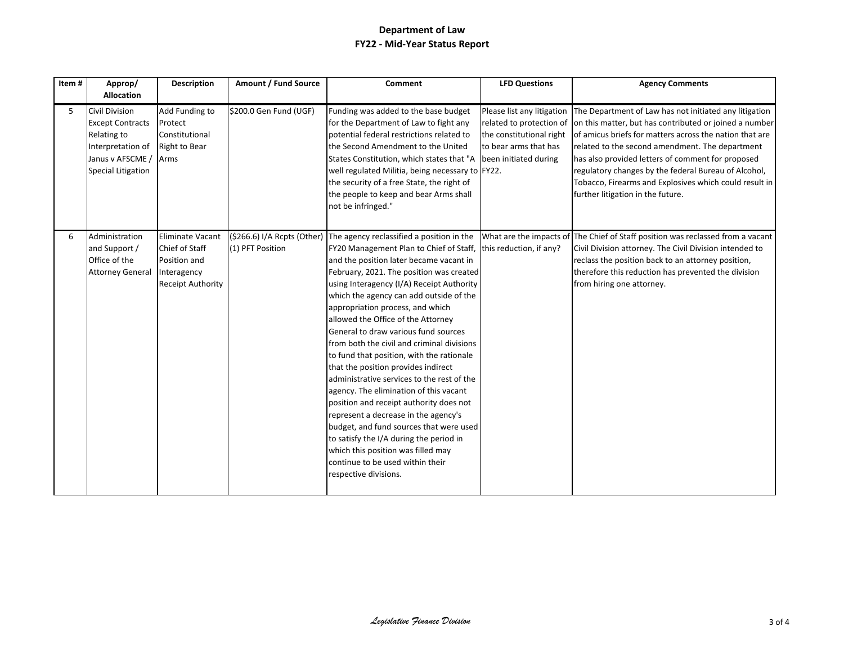| Item# | Approp/                                                                                                                               | <b>Description</b>                                                                                   | Amount / Fund Source                            | Comment                                                                                                                                                                                                                                                                                                                                                                                                                                                                                                                                                                                                                                                                                                                                                                                                                                                                                                             | <b>LFD Questions</b>                                                                                                                 | <b>Agency Comments</b>                                                                                                                                                                                                                                                                                                                                                                                                                     |
|-------|---------------------------------------------------------------------------------------------------------------------------------------|------------------------------------------------------------------------------------------------------|-------------------------------------------------|---------------------------------------------------------------------------------------------------------------------------------------------------------------------------------------------------------------------------------------------------------------------------------------------------------------------------------------------------------------------------------------------------------------------------------------------------------------------------------------------------------------------------------------------------------------------------------------------------------------------------------------------------------------------------------------------------------------------------------------------------------------------------------------------------------------------------------------------------------------------------------------------------------------------|--------------------------------------------------------------------------------------------------------------------------------------|--------------------------------------------------------------------------------------------------------------------------------------------------------------------------------------------------------------------------------------------------------------------------------------------------------------------------------------------------------------------------------------------------------------------------------------------|
|       | <b>Allocation</b>                                                                                                                     |                                                                                                      |                                                 |                                                                                                                                                                                                                                                                                                                                                                                                                                                                                                                                                                                                                                                                                                                                                                                                                                                                                                                     |                                                                                                                                      |                                                                                                                                                                                                                                                                                                                                                                                                                                            |
| 5     | <b>Civil Division</b><br><b>Except Contracts</b><br>Relating to<br>Interpretation of<br>Janus v AFSCME /<br><b>Special Litigation</b> | Add Funding to<br>Protect<br>Constitutional<br><b>Right to Bear</b><br>Arms                          | \$200.0 Gen Fund (UGF)                          | Funding was added to the base budget<br>for the Department of Law to fight any<br>potential federal restrictions related to<br>the Second Amendment to the United<br>States Constitution, which states that "A<br>well regulated Militia, being necessary to FY22.<br>the security of a free State, the right of<br>the people to keep and bear Arms shall<br>not be infringed."                                                                                                                                                                                                                                                                                                                                                                                                                                                                                                                                    | Please list any litigation<br>related to protection of<br>the constitutional right<br>to bear arms that has<br>been initiated during | The Department of Law has not initiated any litigation<br>on this matter, but has contributed or joined a number<br>of amicus briefs for matters across the nation that are<br>related to the second amendment. The department<br>has also provided letters of comment for proposed<br>regulatory changes by the federal Bureau of Alcohol,<br>Tobacco, Firearms and Explosives which could result in<br>further litigation in the future. |
| 6     | Administration<br>and Support /<br>Office of the<br><b>Attorney General</b>                                                           | <b>Eliminate Vacant</b><br>Chief of Staff<br>Position and<br>Interagency<br><b>Receipt Authority</b> | (\$266.6) I/A Rcpts (Other)<br>(1) PFT Position | The agency reclassified a position in the<br>FY20 Management Plan to Chief of Staff, this reduction, if any?<br>and the position later became vacant in<br>February, 2021. The position was created<br>using Interagency (I/A) Receipt Authority<br>which the agency can add outside of the<br>appropriation process, and which<br>allowed the Office of the Attorney<br>General to draw various fund sources<br>from both the civil and criminal divisions<br>to fund that position, with the rationale<br>that the position provides indirect<br>administrative services to the rest of the<br>agency. The elimination of this vacant<br>position and receipt authority does not<br>represent a decrease in the agency's<br>budget, and fund sources that were used<br>to satisfy the I/A during the period in<br>which this position was filled may<br>continue to be used within their<br>respective divisions. |                                                                                                                                      | What are the impacts of The Chief of Staff position was reclassed from a vacant<br>Civil Division attorney. The Civil Division intended to<br>reclass the position back to an attorney position,<br>therefore this reduction has prevented the division<br>from hiring one attorney.                                                                                                                                                       |